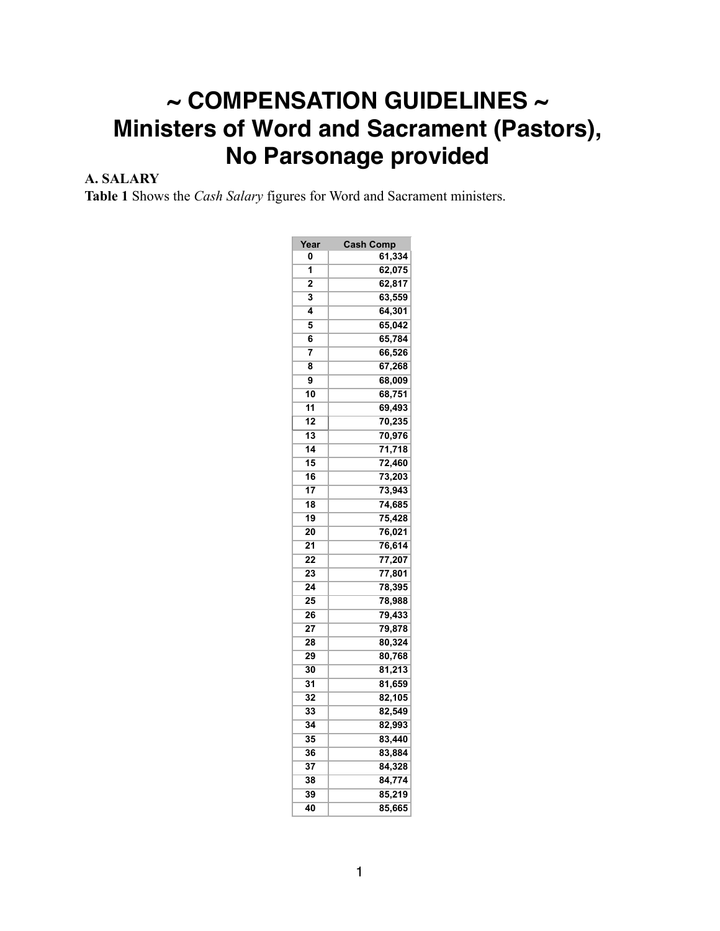# **~ COMPENSATION GUIDELINES ~ Ministers of Word and Sacrament (Pastors), No Parsonage provided**

## **A. SALARY**

**Table 1** Shows the *Cash Salary* figures for Word and Sacrament ministers.

| Year           | <b>Cash Comp</b> |
|----------------|------------------|
| 0              | 61,334           |
| 1              | 62,075           |
| $\overline{2}$ | 62,817           |
| 3              | 63,559           |
| 4              | 64,301           |
| 5              | 65,042           |
| 6              | 65,784           |
| 7              | 66,526           |
| 8              | 67,268           |
| 9              | 68,009           |
| 10             | 68,751           |
| 11             | 69,493           |
| 12             | 70,235           |
| 13             | 70,976           |
| 14             | 71,718           |
| 15             | 72,460           |
| 16             | 73,203           |
| 17             | 73,943           |
| 18             | 74,685           |
| 19             | 75,428           |
| 20             | 76,021           |
| 21             | 76,614           |
| 22             | 77,207           |
| 23             | 77,801           |
| 24             | 78,395           |
| 25             | 78,988           |
| 26             | 79,433           |
| 27             | 79,878           |
| 28             | 80,324           |
| 29             | 80,768           |
| 30             | 81,213           |
| 31             | 81,659           |
| 32             | 82,105           |
| 33             | 82,549           |
| 34             | 82,993           |
| 35             | 83,440           |
| 36             | 83,884           |
| 37             | 84,328           |
| 38             | 84,774           |
| 39             | 85,219           |
| 40             | 85,665           |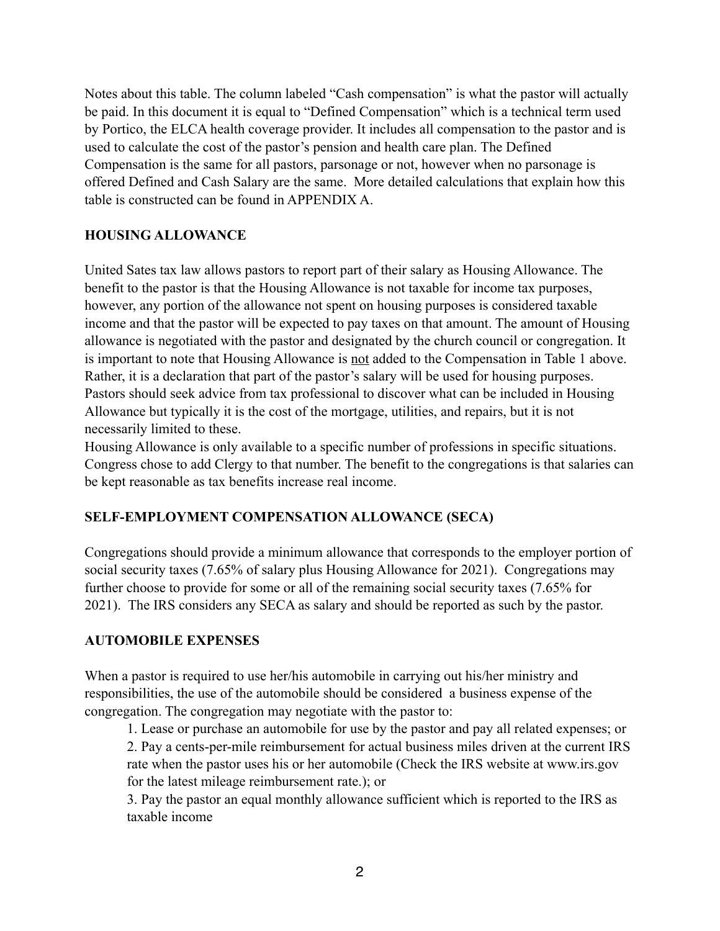Notes about this table. The column labeled "Cash compensation" is what the pastor will actually be paid. In this document it is equal to "Defined Compensation" which is a technical term used by Portico, the ELCA health coverage provider. It includes all compensation to the pastor and is used to calculate the cost of the pastor's pension and health care plan. The Defined Compensation is the same for all pastors, parsonage or not, however when no parsonage is offered Defined and Cash Salary are the same. More detailed calculations that explain how this table is constructed can be found in APPENDIX A.

#### **HOUSING ALLOWANCE**

United Sates tax law allows pastors to report part of their salary as Housing Allowance. The benefit to the pastor is that the Housing Allowance is not taxable for income tax purposes, however, any portion of the allowance not spent on housing purposes is considered taxable income and that the pastor will be expected to pay taxes on that amount. The amount of Housing allowance is negotiated with the pastor and designated by the church council or congregation. It is important to note that Housing Allowance is not added to the Compensation in Table 1 above. Rather, it is a declaration that part of the pastor's salary will be used for housing purposes. Pastors should seek advice from tax professional to discover what can be included in Housing Allowance but typically it is the cost of the mortgage, utilities, and repairs, but it is not necessarily limited to these.

Housing Allowance is only available to a specific number of professions in specific situations. Congress chose to add Clergy to that number. The benefit to the congregations is that salaries can be kept reasonable as tax benefits increase real income.

#### **SELF-EMPLOYMENT COMPENSATION ALLOWANCE (SECA)**

Congregations should provide a minimum allowance that corresponds to the employer portion of social security taxes (7.65% of salary plus Housing Allowance for 2021). Congregations may further choose to provide for some or all of the remaining social security taxes (7.65% for 2021). The IRS considers any SECA as salary and should be reported as such by the pastor.

#### **AUTOMOBILE EXPENSES**

When a pastor is required to use her/his automobile in carrying out his/her ministry and responsibilities, the use of the automobile should be considered a business expense of the congregation. The congregation may negotiate with the pastor to:

1. Lease or purchase an automobile for use by the pastor and pay all related expenses; or 2. Pay a cents-per-mile reimbursement for actual business miles driven at the current IRS rate when the pastor uses his or her automobile (Check the IRS website at www.irs.gov for the latest mileage reimbursement rate.); or

3. Pay the pastor an equal monthly allowance sufficient which is reported to the IRS as taxable income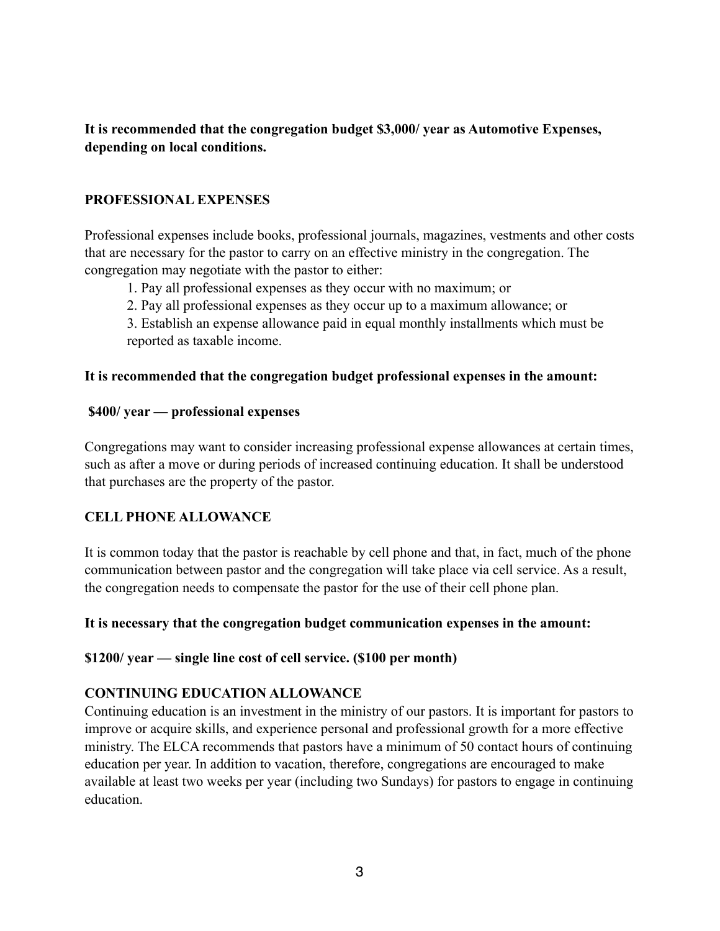**It is recommended that the congregation budget \$3,000/ year as Automotive Expenses, depending on local conditions.**

#### **PROFESSIONAL EXPENSES**

Professional expenses include books, professional journals, magazines, vestments and other costs that are necessary for the pastor to carry on an effective ministry in the congregation. The congregation may negotiate with the pastor to either:

1. Pay all professional expenses as they occur with no maximum; or

2. Pay all professional expenses as they occur up to a maximum allowance; or

3. Establish an expense allowance paid in equal monthly installments which must be reported as taxable income.

#### **It is recommended that the congregation budget professional expenses in the amount:**

#### **\$400/ year — professional expenses**

Congregations may want to consider increasing professional expense allowances at certain times, such as after a move or during periods of increased continuing education. It shall be understood that purchases are the property of the pastor.

#### **CELL PHONE ALLOWANCE**

It is common today that the pastor is reachable by cell phone and that, in fact, much of the phone communication between pastor and the congregation will take place via cell service. As a result, the congregation needs to compensate the pastor for the use of their cell phone plan.

#### **It is necessary that the congregation budget communication expenses in the amount:**

#### **\$1200/ year — single line cost of cell service. (\$100 per month)**

#### **CONTINUING EDUCATION ALLOWANCE**

Continuing education is an investment in the ministry of our pastors. It is important for pastors to improve or acquire skills, and experience personal and professional growth for a more effective ministry. The ELCA recommends that pastors have a minimum of 50 contact hours of continuing education per year. In addition to vacation, therefore, congregations are encouraged to make available at least two weeks per year (including two Sundays) for pastors to engage in continuing education.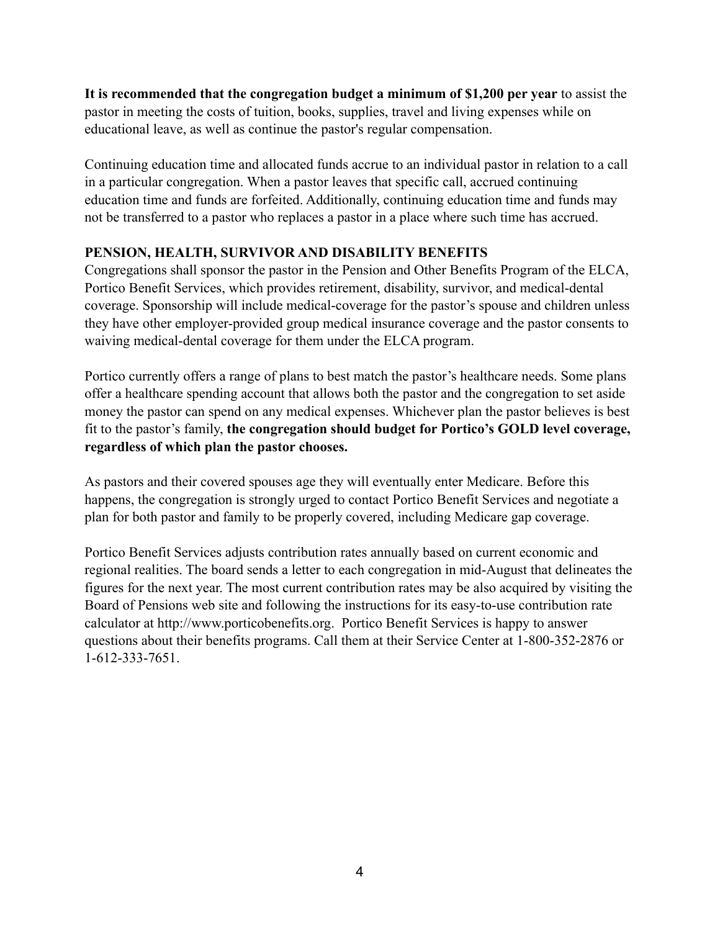**It is recommended that the congregation budget a minimum of \$1,200 per year** to assist the pastor in meeting the costs of tuition, books, supplies, travel and living expenses while on educational leave, as well as continue the pastor's regular compensation.

Continuing education time and allocated funds accrue to an individual pastor in relation to a call in a particular congregation. When a pastor leaves that specific call, accrued continuing education time and funds are forfeited. Additionally, continuing education time and funds may not be transferred to a pastor who replaces a pastor in a place where such time has accrued.

## **PENSION, HEALTH, SURVIVOR AND DISABILITY BENEFITS**

Congregations shall sponsor the pastor in the Pension and Other Benefits Program of the ELCA, Portico Benefit Services, which provides retirement, disability, survivor, and medical-dental coverage. Sponsorship will include medical-coverage for the pastor's spouse and children unless they have other employer-provided group medical insurance coverage and the pastor consents to waiving medical-dental coverage for them under the ELCA program.

Portico currently offers a range of plans to best match the pastor's healthcare needs. Some plans offer a healthcare spending account that allows both the pastor and the congregation to set aside money the pastor can spend on any medical expenses. Whichever plan the pastor believes is best fit to the pastor's family, **the congregation should budget for Portico's GOLD level coverage, regardless of which plan the pastor chooses.**

As pastors and their covered spouses age they will eventually enter Medicare. Before this happens, the congregation is strongly urged to contact Portico Benefit Services and negotiate a plan for both pastor and family to be properly covered, including Medicare gap coverage.

Portico Benefit Services adjusts contribution rates annually based on current economic and regional realities. The board sends a letter to each congregation in mid-August that delineates the figures for the next year. The most current contribution rates may be also acquired by visiting the Board of Pensions web site and following the instructions for its easy-to-use contribution rate calculator at http://www.porticobenefits.org. Portico Benefit Services is happy to answer questions about their benefits programs. Call them at their Service Center at 1-800-352-2876 or 1-612-333-7651.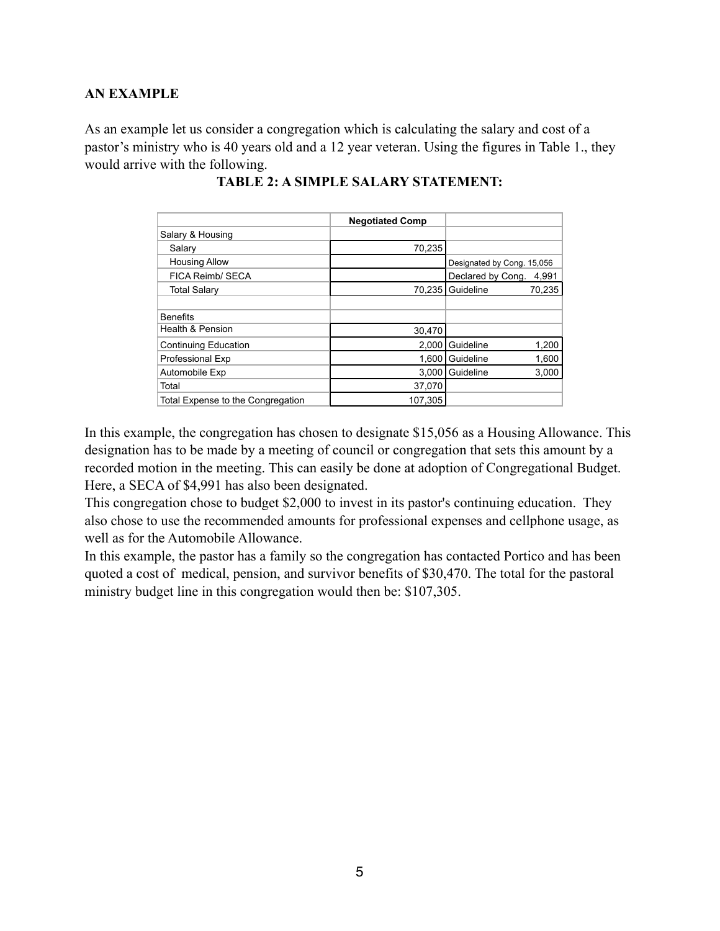#### **AN EXAMPLE**

As an example let us consider a congregation which is calculating the salary and cost of a pastor's ministry who is 40 years old and a 12 year veteran. Using the figures in Table 1., they would arrive with the following.

|                                   | <b>Negotiated Comp</b> |                            |        |
|-----------------------------------|------------------------|----------------------------|--------|
| Salary & Housing                  |                        |                            |        |
| Salary                            | 70,235                 |                            |        |
| <b>Housing Allow</b>              |                        | Designated by Cong. 15,056 |        |
| FICA Reimb/ SECA                  |                        | Declared by Cong.          | 4,991  |
| Total Salary                      | 70,235                 | Guideline                  | 70,235 |
|                                   |                        |                            |        |
| <b>Benefits</b>                   |                        |                            |        |
| Health & Pension                  | 30,470                 |                            |        |
| <b>Continuing Education</b>       | 2,000                  | Guideline                  | 1,200  |
| <b>Professional Exp</b>           | 1,600                  | Guideline                  | 1,600  |
| Automobile Exp                    | 3.000                  | Guideline                  | 3,000  |
| Total                             | 37,070                 |                            |        |
| Total Expense to the Congregation | 107,305                |                            |        |

#### **TABLE 2: A SIMPLE SALARY STATEMENT:**

In this example, the congregation has chosen to designate \$15,056 as a Housing Allowance. This designation has to be made by a meeting of council or congregation that sets this amount by a recorded motion in the meeting. This can easily be done at adoption of Congregational Budget. Here, a SECA of \$4,991 has also been designated.

This congregation chose to budget \$2,000 to invest in its pastor's continuing education. They also chose to use the recommended amounts for professional expenses and cellphone usage, as well as for the Automobile Allowance.

In this example, the pastor has a family so the congregation has contacted Portico and has been quoted a cost of medical, pension, and survivor benefits of \$30,470. The total for the pastoral ministry budget line in this congregation would then be: \$107,305.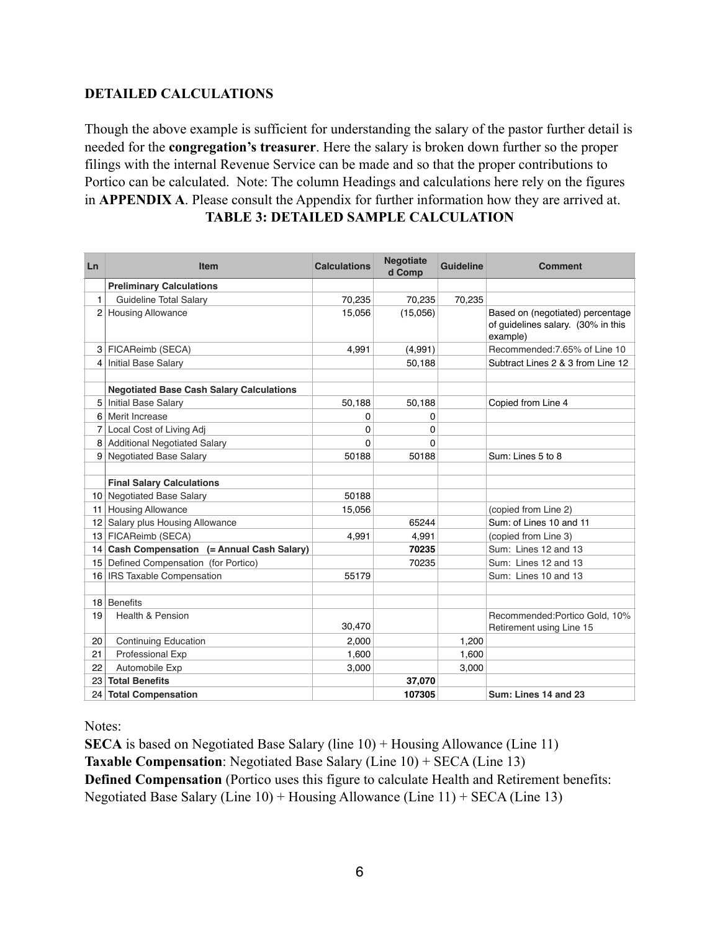## **DETAILED CALCULATIONS**

Though the above example is sufficient for understanding the salary of the pastor further detail is needed for the **congregation's treasurer**. Here the salary is broken down further so the proper filings with the internal Revenue Service can be made and so that the proper contributions to Portico can be calculated. Note: The column Headings and calculations here rely on the figures in **APPENDIX A**. Please consult the Appendix for further information how they are arrived at. **TABLE 3: DETAILED SAMPLE CALCULATION**

| Ln | Item                                            | <b>Calculations</b> | <b>Negotiate</b><br>d Comp | <b>Guideline</b> | <b>Comment</b>                                                                     |
|----|-------------------------------------------------|---------------------|----------------------------|------------------|------------------------------------------------------------------------------------|
|    | <b>Preliminary Calculations</b>                 |                     |                            |                  |                                                                                    |
| 1. | Guideline Total Salary                          | 70,235              | 70,235                     | 70,235           |                                                                                    |
|    | 2 Housing Allowance                             | 15,056              | (15,056)                   |                  | Based on (negotiated) percentage<br>of guidelines salary. (30% in this<br>example) |
|    | 3 FICAReimb (SECA)                              | 4,991               | (4,991)                    |                  | Recommended: 7.65% of Line 10                                                      |
| 41 | <b>Initial Base Salary</b>                      |                     | 50,188                     |                  | Subtract Lines 2 & 3 from Line 12                                                  |
|    |                                                 |                     |                            |                  |                                                                                    |
|    | <b>Negotiated Base Cash Salary Calculations</b> |                     |                            |                  |                                                                                    |
|    | 5   Initial Base Salary                         | 50,188              | 50,188                     |                  | Copied from Line 4                                                                 |
|    | 6 Merit Increase                                | 0                   | 0                          |                  |                                                                                    |
| 71 | Local Cost of Living Adj                        | 0                   | 0                          |                  |                                                                                    |
|    | 8 Additional Negotiated Salary                  | $\Omega$            | $\Omega$                   |                  |                                                                                    |
|    | 9 Negotiated Base Salary                        | 50188               | 50188                      |                  | Sum: Lines 5 to 8                                                                  |
|    |                                                 |                     |                            |                  |                                                                                    |
|    | <b>Final Salary Calculations</b>                |                     |                            |                  |                                                                                    |
|    | 10 Negotiated Base Salary                       | 50188               |                            |                  |                                                                                    |
|    | 11 Housing Allowance                            | 15,056              |                            |                  | (copied from Line 2)                                                               |
|    | 12 Salary plus Housing Allowance                |                     | 65244                      |                  | Sum: of Lines 10 and 11                                                            |
|    | 13 FICAReimb (SECA)                             | 4,991               | 4,991                      |                  | (copied from Line 3)                                                               |
|    | 14 Cash Compensation (= Annual Cash Salary)     |                     | 70235                      |                  | Sum: Lines 12 and 13                                                               |
|    | 15 Defined Compensation (for Portico)           |                     | 70235                      |                  | Sum: Lines 12 and 13                                                               |
|    | 16   IRS Taxable Compensation                   | 55179               |                            |                  | Sum: Lines 10 and 13                                                               |
|    |                                                 |                     |                            |                  |                                                                                    |
|    | 18 Benefits                                     |                     |                            |                  |                                                                                    |
| 19 | Health & Pension                                | 30,470              |                            |                  | Recommended: Portico Gold, 10%<br>Retirement using Line 15                         |
| 20 | <b>Continuing Education</b>                     | 2.000               |                            | 1.200            |                                                                                    |
| 21 | <b>Professional Exp</b>                         | 1,600               |                            | 1,600            |                                                                                    |
| 22 | Automobile Exp                                  | 3,000               |                            | 3,000            |                                                                                    |
| 23 | <b>Total Benefits</b>                           |                     | 37,070                     |                  |                                                                                    |
|    | 24 Total Compensation                           |                     | 107305                     |                  | Sum: Lines 14 and 23                                                               |

Notes:

**SECA** is based on Negotiated Base Salary (line 10) + Housing Allowance (Line 11) **Taxable Compensation**: Negotiated Base Salary (Line 10) + SECA (Line 13) **Defined Compensation** (Portico uses this figure to calculate Health and Retirement benefits: Negotiated Base Salary (Line 10) + Housing Allowance (Line 11) + SECA (Line 13)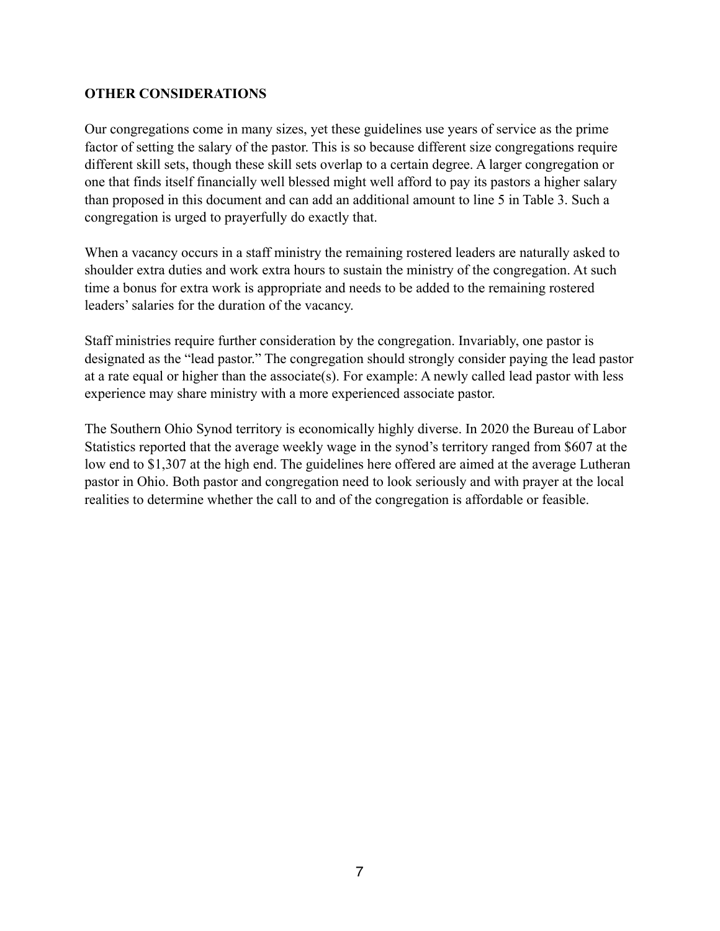#### **OTHER CONSIDERATIONS**

Our congregations come in many sizes, yet these guidelines use years of service as the prime factor of setting the salary of the pastor. This is so because different size congregations require different skill sets, though these skill sets overlap to a certain degree. A larger congregation or one that finds itself financially well blessed might well afford to pay its pastors a higher salary than proposed in this document and can add an additional amount to line 5 in Table 3. Such a congregation is urged to prayerfully do exactly that.

When a vacancy occurs in a staff ministry the remaining rostered leaders are naturally asked to shoulder extra duties and work extra hours to sustain the ministry of the congregation. At such time a bonus for extra work is appropriate and needs to be added to the remaining rostered leaders' salaries for the duration of the vacancy.

Staff ministries require further consideration by the congregation. Invariably, one pastor is designated as the "lead pastor." The congregation should strongly consider paying the lead pastor at a rate equal or higher than the associate(s). For example: A newly called lead pastor with less experience may share ministry with a more experienced associate pastor.

The Southern Ohio Synod territory is economically highly diverse. In 2020 the Bureau of Labor Statistics reported that the average weekly wage in the synod's territory ranged from \$607 at the low end to \$1,307 at the high end. The guidelines here offered are aimed at the average Lutheran pastor in Ohio. Both pastor and congregation need to look seriously and with prayer at the local realities to determine whether the call to and of the congregation is affordable or feasible.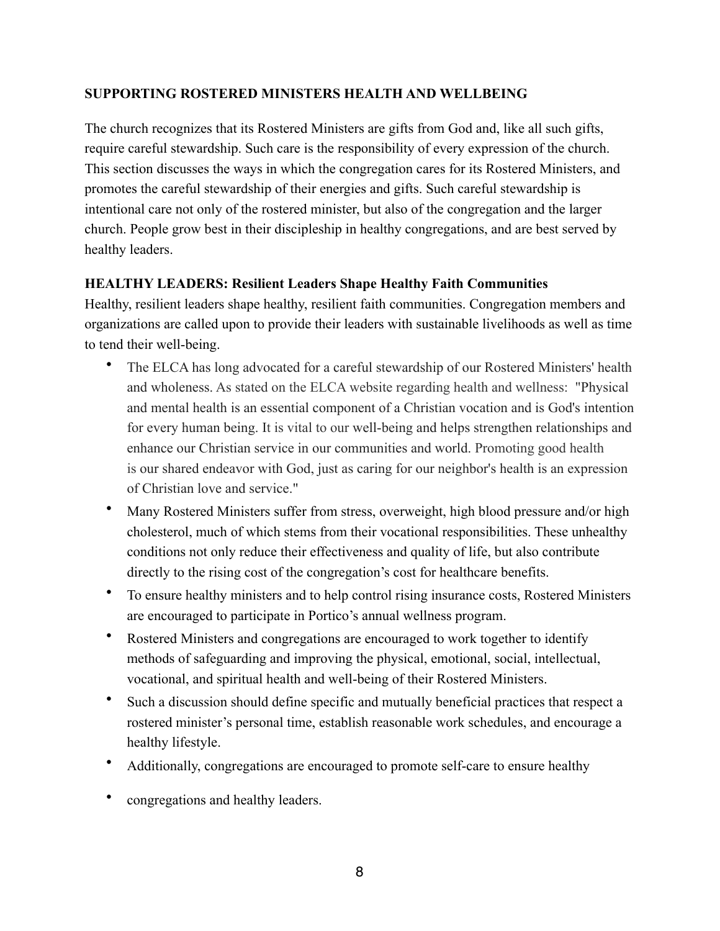#### **SUPPORTING ROSTERED MINISTERS HEALTH AND WELLBEING**

The church recognizes that its Rostered Ministers are gifts from God and, like all such gifts, require careful stewardship. Such care is the responsibility of every expression of the church. This section discusses the ways in which the congregation cares for its Rostered Ministers, and promotes the careful stewardship of their energies and gifts. Such careful stewardship is intentional care not only of the rostered minister, but also of the congregation and the larger church. People grow best in their discipleship in healthy congregations, and are best served by healthy leaders.

## **HEALTHY LEADERS: Resilient Leaders Shape Healthy Faith Communities**

Healthy, resilient leaders shape healthy, resilient faith communities. Congregation members and organizations are called upon to provide their leaders with sustainable livelihoods as well as time to tend their well-being.

- The ELCA has long advocated for a careful stewardship of our Rostered Ministers' health and wholeness. As stated on the ELCA website regarding health and wellness: "Physical and mental health is an essential component of a Christian vocation and is God's intention for every human being. It is vital to our well-being and helps strengthen relationships and enhance our Christian service in our communities and world. Promoting good health is our shared endeavor with God, just as caring for our neighbor's health is an expression of Christian love and service."
- Many Rostered Ministers suffer from stress, overweight, high blood pressure and/or high cholesterol, much of which stems from their vocational responsibilities. These unhealthy conditions not only reduce their effectiveness and quality of life, but also contribute directly to the rising cost of the congregation's cost for healthcare benefits.
- To ensure healthy ministers and to help control rising insurance costs, Rostered Ministers are encouraged to participate in Portico's annual wellness program.
- Rostered Ministers and congregations are encouraged to work together to identify methods of safeguarding and improving the physical, emotional, social, intellectual, vocational, and spiritual health and well-being of their Rostered Ministers.
- Such a discussion should define specific and mutually beneficial practices that respect a rostered minister's personal time, establish reasonable work schedules, and encourage a healthy lifestyle.
- Additionally, congregations are encouraged to promote self-care to ensure healthy
- congregations and healthy leaders.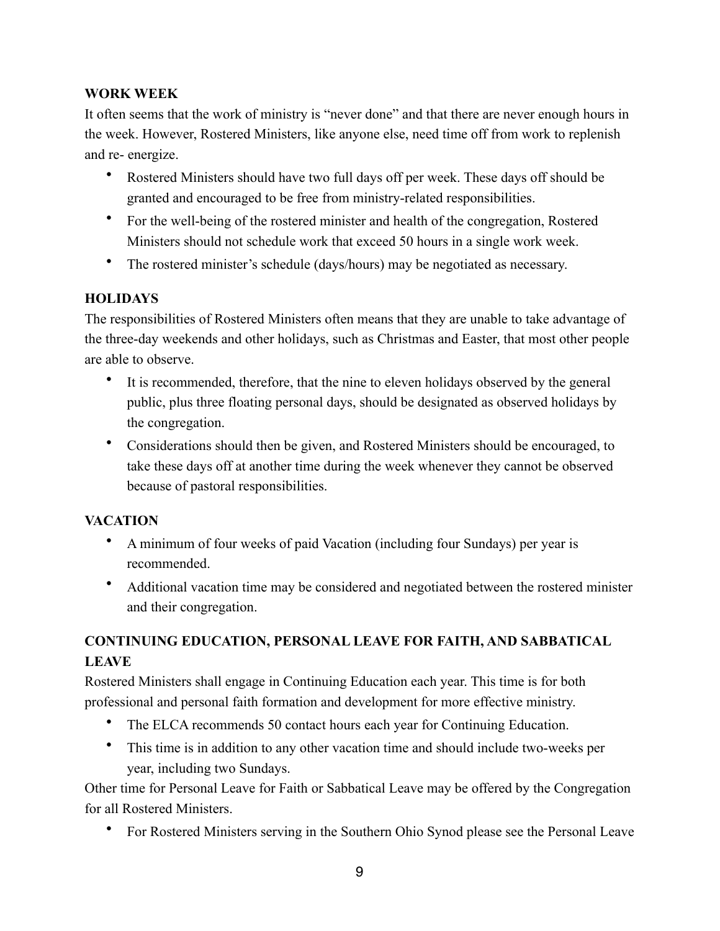## **WORK WEEK**

It often seems that the work of ministry is "never done" and that there are never enough hours in the week. However, Rostered Ministers, like anyone else, need time off from work to replenish and re- energize.

- Rostered Ministers should have two full days off per week. These days off should be granted and encouraged to be free from ministry-related responsibilities.
- For the well-being of the rostered minister and health of the congregation, Rostered Ministers should not schedule work that exceed 50 hours in a single work week.
- The rostered minister's schedule (days/hours) may be negotiated as necessary.

### **HOLIDAYS**

The responsibilities of Rostered Ministers often means that they are unable to take advantage of the three-day weekends and other holidays, such as Christmas and Easter, that most other people are able to observe.

- It is recommended, therefore, that the nine to eleven holidays observed by the general public, plus three floating personal days, should be designated as observed holidays by the congregation.
- Considerations should then be given, and Rostered Ministers should be encouraged, to take these days off at another time during the week whenever they cannot be observed because of pastoral responsibilities.

## **VACATION**

- A minimum of four weeks of paid Vacation (including four Sundays) per year is recommended.
- Additional vacation time may be considered and negotiated between the rostered minister and their congregation.

## **CONTINUING EDUCATION, PERSONAL LEAVE FOR FAITH, AND SABBATICAL LEAVE**

Rostered Ministers shall engage in Continuing Education each year. This time is for both professional and personal faith formation and development for more effective ministry.

- The ELCA recommends 50 contact hours each year for Continuing Education.
- This time is in addition to any other vacation time and should include two-weeks per year, including two Sundays.

Other time for Personal Leave for Faith or Sabbatical Leave may be offered by the Congregation for all Rostered Ministers.

• For Rostered Ministers serving in the Southern Ohio Synod please see the Personal Leave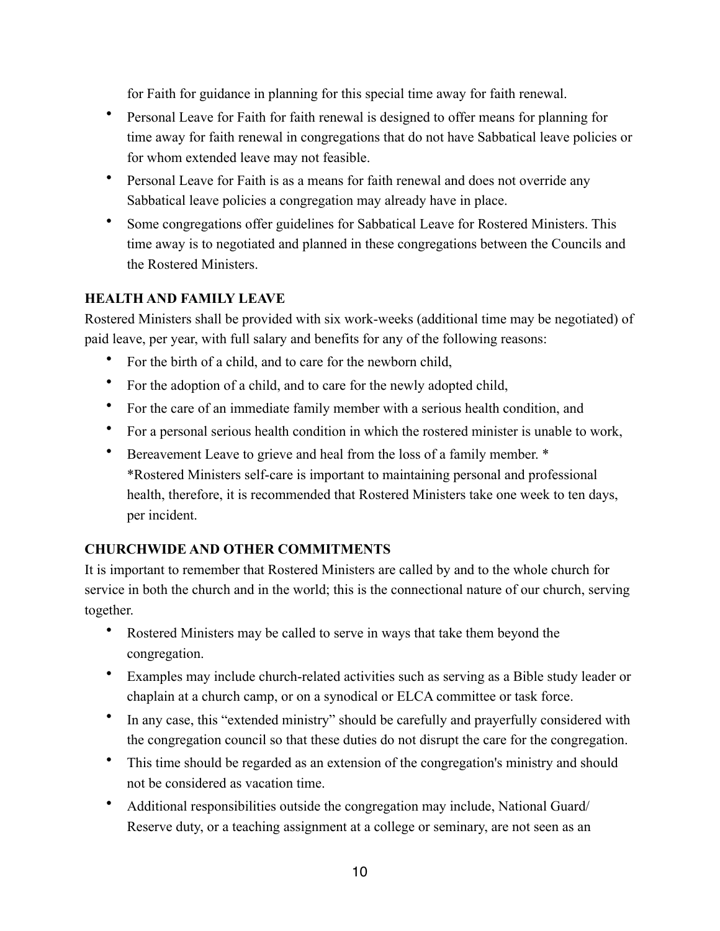for Faith for guidance in planning for this special time away for faith renewal.

- Personal Leave for Faith for faith renewal is designed to offer means for planning for time away for faith renewal in congregations that do not have Sabbatical leave policies or for whom extended leave may not feasible.
- Personal Leave for Faith is as a means for faith renewal and does not override any Sabbatical leave policies a congregation may already have in place.
- Some congregations offer guidelines for Sabbatical Leave for Rostered Ministers. This time away is to negotiated and planned in these congregations between the Councils and the Rostered Ministers.

### **HEALTH AND FAMILY LEAVE**

Rostered Ministers shall be provided with six work-weeks (additional time may be negotiated) of paid leave, per year, with full salary and benefits for any of the following reasons:

- For the birth of a child, and to care for the newborn child,
- For the adoption of a child, and to care for the newly adopted child,
- For the care of an immediate family member with a serious health condition, and
- For a personal serious health condition in which the rostered minister is unable to work,
- Bereavement Leave to grieve and heal from the loss of a family member. \* \*Rostered Ministers self-care is important to maintaining personal and professional health, therefore, it is recommended that Rostered Ministers take one week to ten days, per incident.

## **CHURCHWIDE AND OTHER COMMITMENTS**

It is important to remember that Rostered Ministers are called by and to the whole church for service in both the church and in the world; this is the connectional nature of our church, serving together.

- Rostered Ministers may be called to serve in ways that take them beyond the congregation.
- Examples may include church-related activities such as serving as a Bible study leader or chaplain at a church camp, or on a synodical or ELCA committee or task force.
- In any case, this "extended ministry" should be carefully and prayerfully considered with the congregation council so that these duties do not disrupt the care for the congregation.
- This time should be regarded as an extension of the congregation's ministry and should not be considered as vacation time.
- Additional responsibilities outside the congregation may include, National Guard/ Reserve duty, or a teaching assignment at a college or seminary, are not seen as an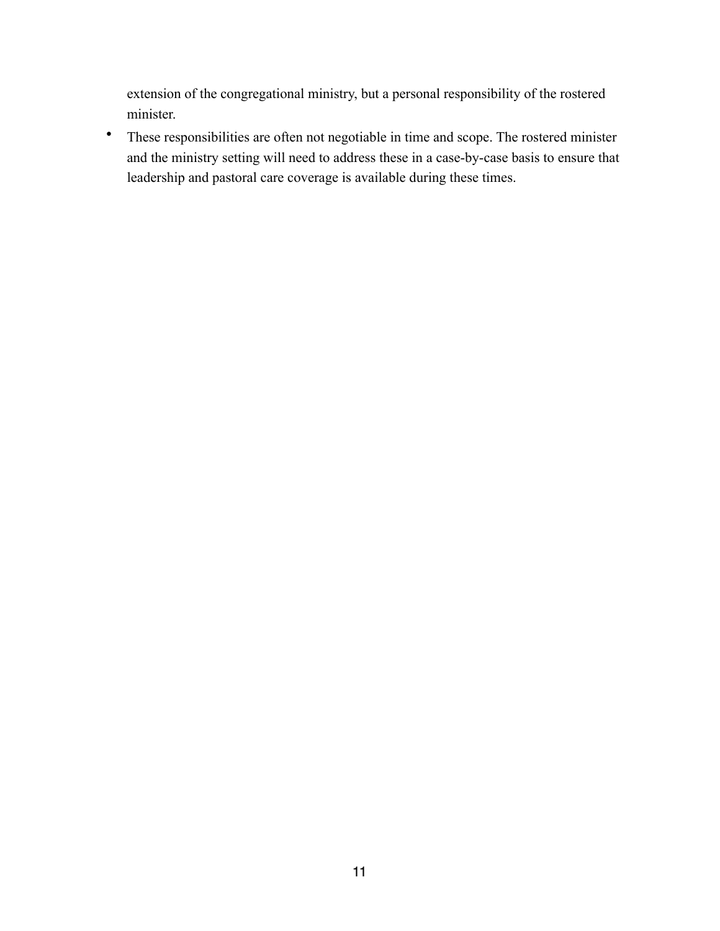extension of the congregational ministry, but a personal responsibility of the rostered minister.

• These responsibilities are often not negotiable in time and scope. The rostered minister and the ministry setting will need to address these in a case-by-case basis to ensure that leadership and pastoral care coverage is available during these times.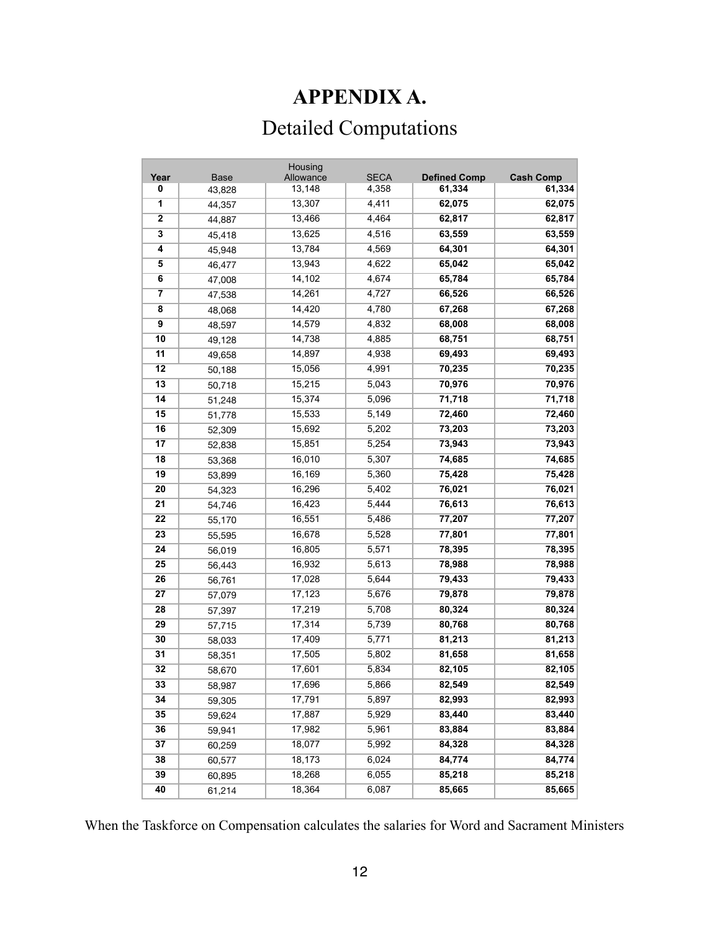## **APPENDIX A.**

# Detailed Computations

|                         |             | Housing          |             |                     |                  |
|-------------------------|-------------|------------------|-------------|---------------------|------------------|
| Year                    | <b>Base</b> | Allowance        | <b>SECA</b> | <b>Defined Comp</b> | <b>Cash Comp</b> |
| 0                       | 43,828      | 13,148<br>13,307 | 4,358       | 61,334              | 61,334           |
| 1                       | 44,357      |                  | 4,411       | 62,075              | 62,075           |
| 2                       | 44,887      | 13,466           | 4,464       | 62,817              | 62,817           |
| 3                       | 45,418      | 13,625           | 4,516       | 63,559              | 63,559           |
| 4                       | 45,948      | 13,784           | 4,569       | 64,301              | 64,301           |
| 5                       | 46,477      | 13,943           | 4,622       | 65,042              | 65,042           |
| 6                       | 47,008      | 14,102           | 4,674       | 65,784              | 65,784           |
| $\overline{\mathbf{r}}$ | 47,538      | 14,261           | 4,727       | 66,526              | 66,526           |
| 8                       | 48,068      | 14,420           | 4,780       | 67,268              | 67,268           |
| 9                       | 48,597      | 14,579           | 4,832       | 68,008              | 68,008           |
| 10                      | 49,128      | 14,738           | 4,885       | 68,751              | 68,751           |
| 11                      | 49,658      | 14,897           | 4,938       | 69,493              | 69,493           |
| 12                      | 50,188      | 15,056           | 4,991       | 70,235              | 70,235           |
| 13                      | 50,718      | 15,215           | 5,043       | 70,976              | 70,976           |
| 14                      | 51,248      | 15,374           | 5,096       | 71,718              | 71,718           |
| 15                      | 51,778      | 15,533           | 5,149       | 72,460              | 72,460           |
| 16                      | 52,309      | 15,692           | 5,202       | 73,203              | 73,203           |
| 17                      | 52,838      | 15,851           | 5,254       | 73,943              | 73,943           |
| 18                      | 53,368      | 16,010           | 5,307       | 74,685              | 74,685           |
| 19                      | 53,899      | 16,169           | 5,360       | 75,428              | 75,428           |
| 20                      | 54,323      | 16,296           | 5,402       | 76,021              | 76,021           |
| 21                      | 54,746      | 16,423           | 5,444       | 76,613              | 76,613           |
| 22                      | 55,170      | 16,551           | 5,486       | 77,207              | 77,207           |
| 23                      | 55,595      | 16,678           | 5,528       | 77,801              | 77,801           |
| 24                      | 56,019      | 16,805           | 5,571       | 78,395              | 78,395           |
| 25                      | 56,443      | 16,932           | 5,613       | 78,988              | 78,988           |
| 26                      | 56,761      | 17,028           | 5,644       | 79,433              | 79,433           |
| 27                      | 57,079      | 17, 123          | 5,676       | 79,878              | 79,878           |
| 28                      | 57,397      | 17,219           | 5,708       | 80,324              | 80,324           |
| 29                      | 57,715      | 17,314           | 5,739       | 80,768              | 80,768           |
| 30                      | 58,033      | 17,409           | 5,771       | 81,213              | 81,213           |
| 31                      | 58,351      | 17,505           | 5,802       | 81,658              | 81,658           |
| 32                      | 58,670      | 17,601           | 5,834       | 82,105              | 82,105           |
| 33                      | 58,987      | 17,696           | 5,866       | 82,549              | 82,549           |
| 34                      | 59,305      | 17,791           | 5,897       | 82,993              | 82,993           |
| 35                      | 59,624      | 17,887           | 5,929       | 83,440              | 83,440           |
| 36                      | 59,941      | 17,982           | 5,961       | 83,884              | 83,884           |
| 37                      | 60,259      | 18,077           | 5,992       | 84,328              | 84,328           |
| 38                      | 60,577      | 18,173           | 6,024       | 84,774              | 84,774           |
| 39                      | 60,895      | 18,268           | 6,055       | 85,218              | 85,218           |
| 40                      |             | 18,364           | 6,087       | 85,665              | 85,665           |
|                         | 61,214      |                  |             |                     |                  |

When the Taskforce on Compensation calculates the salaries for Word and Sacrament Ministers